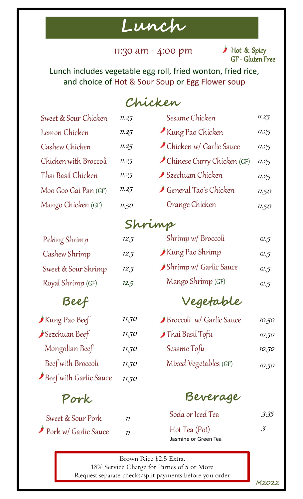## **Lunch**

11:30 am - 4:00 pm

GF - Gluten Free Hot & Spicy

Lunch includes vegetable egg roll, fried wonton, fried rice, and choice of Hot & Sour Soup or Egg Flower soup

### **Chicken**

| Sweet & Sour Chicken   | 11.25 | Sesame Chicken                                         |       |  |  |
|------------------------|-------|--------------------------------------------------------|-------|--|--|
| Lemon Chicken          | 11.25 | Kung Pao Chicken                                       | 11.25 |  |  |
| Cashew Chicken         | 11.25 | Chicken w/ Garlic Sauce                                | 11.25 |  |  |
| Chicken with Broccoli  | 11.25 | Chinese Curry Chicken (GF)                             | 11.25 |  |  |
| Thai Basil Chicken     | 11.25 | Szechuan Chicken                                       | 11.25 |  |  |
| Moo Goo Gai Pan (GF)   | 11.25 | General Tao's Chicken                                  | 11.50 |  |  |
| Mango Chicken (GF)     | 11.50 | Orange Chicken                                         | 11.50 |  |  |
|                        |       | Shrimp                                                 |       |  |  |
| Peking Shrimp          | 12.5  | Shrimp w/ Broccoli                                     | 12.5  |  |  |
| Cashew Shrimp          | 12.5  | Kung Pao Shrimp                                        | 12.5  |  |  |
| Sweet & Sour Shrimp    | 12.5  | Shrimp w/ Garlic Sauce                                 | 12.5  |  |  |
| Royal Shrimp (GF)      | 12.5  | Mango Shrimp (GF)                                      | 12.5  |  |  |
| Beef                   |       | Vegetable                                              |       |  |  |
| Kung Pao Beef          | 11.50 | Broccoli w/ Garlic Sauce                               | 10.50 |  |  |
| Sezchuan Beef          | 11.50 | Thai Basil Tofu                                        | 10.50 |  |  |
| Mongolian Beef         | 11.50 | Sesame Tofu                                            | 10.50 |  |  |
| Beef with Broccoli     | 11.50 | Mixed Vegetables (GF)                                  | 10.50 |  |  |
| Beef with Garlic Sauce | 11.50 |                                                        |       |  |  |
| Pork                   |       | Beverage                                               |       |  |  |
| Sweet & Sour Pork      | 11    | Soda or Iced Tea                                       | 3:35  |  |  |
| Pork w/ Garlic Sauce   | 11    | $\mathcal{S}$<br>Hot Tea (Pot)<br>Jasmine or Green Tea |       |  |  |
|                        |       |                                                        |       |  |  |

Brown Rice \$2.5 Extra. 18% Service Charge for Parties of 5 or More Request separate checks/split payments before you order